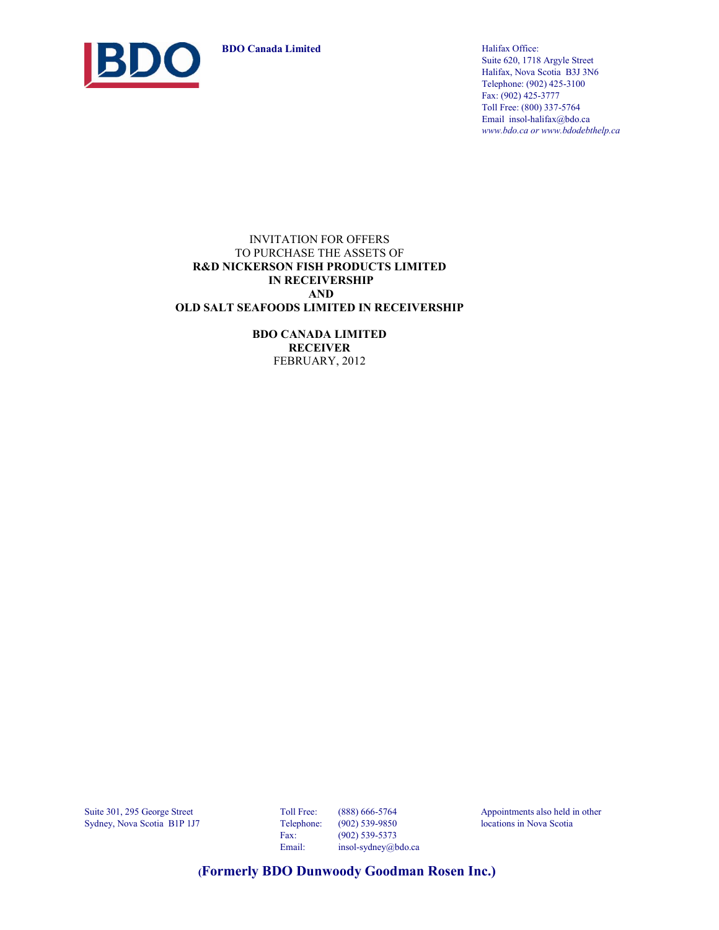**BDO Canada Limited** Halifax Office:



Suite 620, 1718 Argyle Street Halifax, Nova Scotia B3J 3N6 Telephone: (902) 425-3100 Fax: (902) 425-3777 Toll Free: (800) 337-5764 Email insol-halifax@bdo.ca *www.bdo.ca or www.bdodebthelp.ca*

#### INVITATION FOR OFFERS TO PURCHASE THE ASSETS OF **R&D NICKERSON FISH PRODUCTS LIMITED IN RECEIVERSHIP AND OLD SALT SEAFOODS LIMITED IN RECEIVERSHIP**

**BDO CANADA LIMITED RECEIVER** FEBRUARY, 2012

Suite 301, 295 George Street Toll Free: (888) 666-5764 Appointments also held in other Sydney, Nova Scotia B1P 1J7 Telephone: (902) 539-9850 locations in Nova Scotia

Fax: (902) 539-5373 Email: insol-sydney@bdo.ca

 **(Formerly BDO Dunwoody Goodman Rosen Inc.)**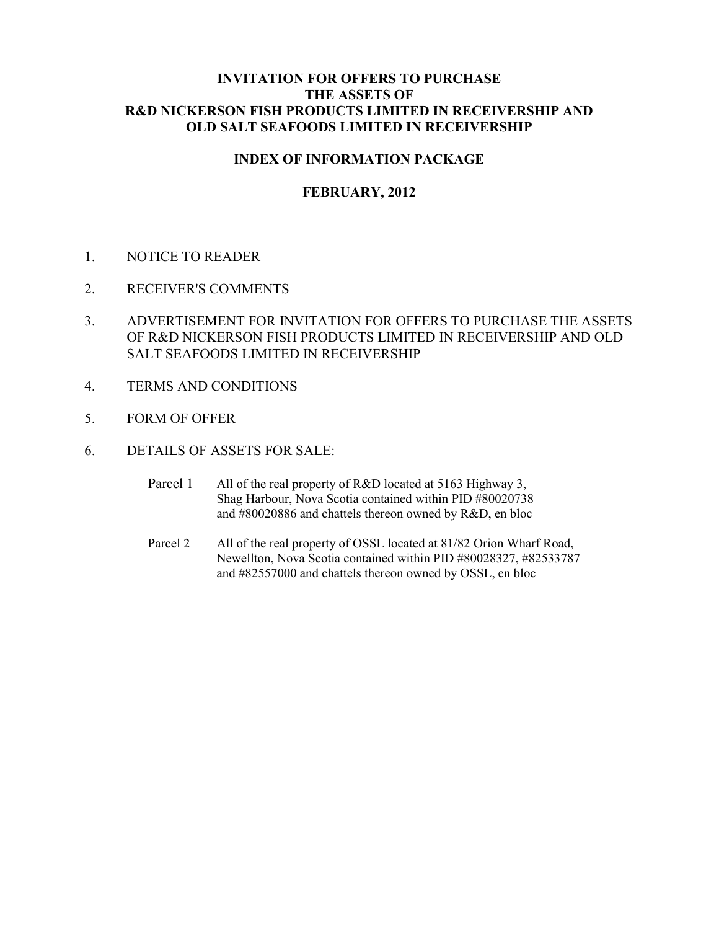## **INDEX OF INFORMATION PACKAGE**

# **FEBRUARY, 2012**

- 1. NOTICE TO READER
- 2. RECEIVER'S COMMENTS
- 3. ADVERTISEMENT FOR INVITATION FOR OFFERS TO PURCHASE THE ASSETS OF R&D NICKERSON FISH PRODUCTS LIMITED IN RECEIVERSHIP AND OLD SALT SEAFOODS LIMITED IN RECEIVERSHIP
- 4. TERMS AND CONDITIONS
- 5. FORM OF OFFER
- 6. DETAILS OF ASSETS FOR SALE:
	- Parcel 1 All of the real property of R&D located at 5163 Highway 3, Shag Harbour, Nova Scotia contained within PID #80020738 and #80020886 and chattels thereon owned by R&D, en bloc
	- Parcel 2 All of the real property of OSSL located at 81/82 Orion Wharf Road, Newellton, Nova Scotia contained within PID #80028327, #82533787 and #82557000 and chattels thereon owned by OSSL, en bloc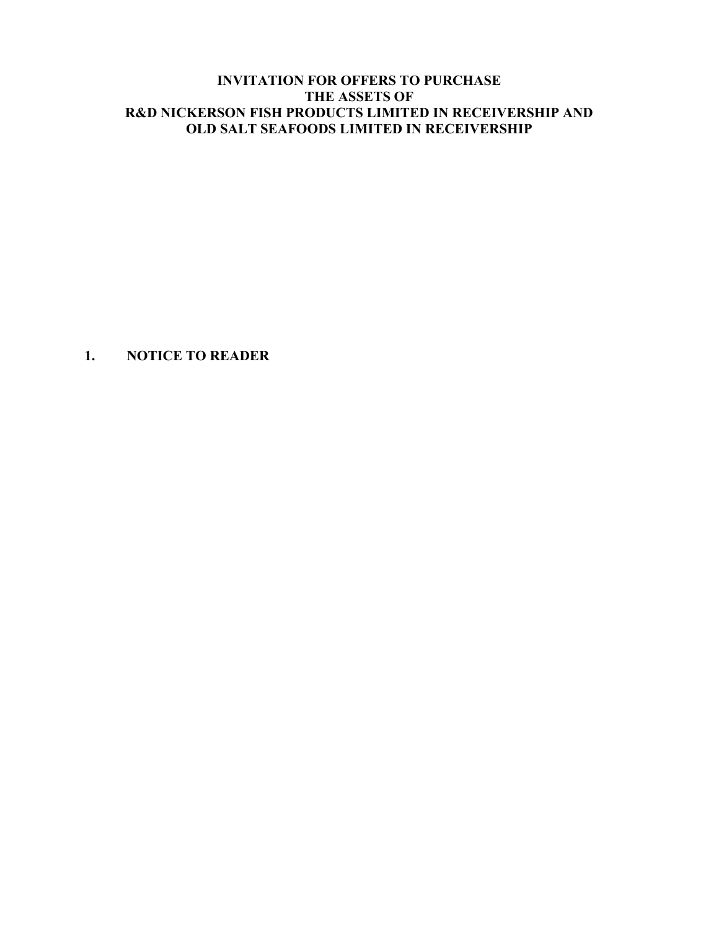**1. NOTICE TO READER**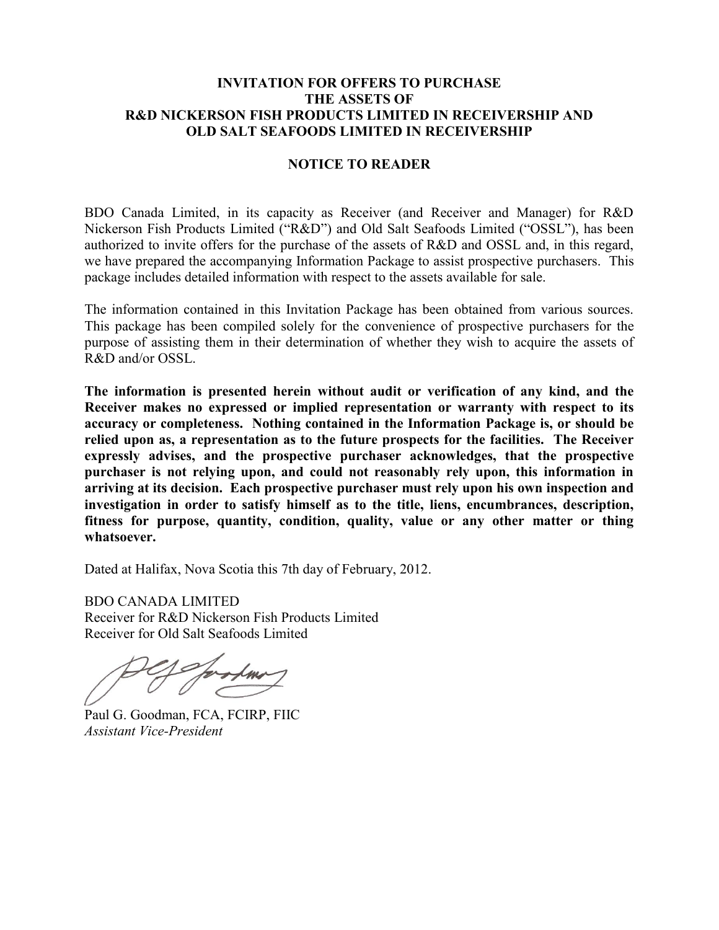#### **NOTICE TO READER**

BDO Canada Limited, in its capacity as Receiver (and Receiver and Manager) for R&D Nickerson Fish Products Limited ("R&D") and Old Salt Seafoods Limited ("OSSL"), has been authorized to invite offers for the purchase of the assets of R&D and OSSL and, in this regard, we have prepared the accompanying Information Package to assist prospective purchasers. This package includes detailed information with respect to the assets available for sale.

The information contained in this Invitation Package has been obtained from various sources. This package has been compiled solely for the convenience of prospective purchasers for the purpose of assisting them in their determination of whether they wish to acquire the assets of R&D and/or OSSL.

**The information is presented herein without audit or verification of any kind, and the Receiver makes no expressed or implied representation or warranty with respect to its accuracy or completeness. Nothing contained in the Information Package is, or should be relied upon as, a representation as to the future prospects for the facilities. The Receiver expressly advises, and the prospective purchaser acknowledges, that the prospective purchaser is not relying upon, and could not reasonably rely upon, this information in arriving at its decision. Each prospective purchaser must rely upon his own inspection and investigation in order to satisfy himself as to the title, liens, encumbrances, description, fitness for purpose, quantity, condition, quality, value or any other matter or thing whatsoever.**

Dated at Halifax, Nova Scotia this 7th day of February, 2012.

BDO CANADA LIMITED Receiver for R&D Nickerson Fish Products Limited Receiver for Old Salt Seafoods Limited

Paul G. Goodman, FCA, FCIRP, FIIC *Assistant Vice-President*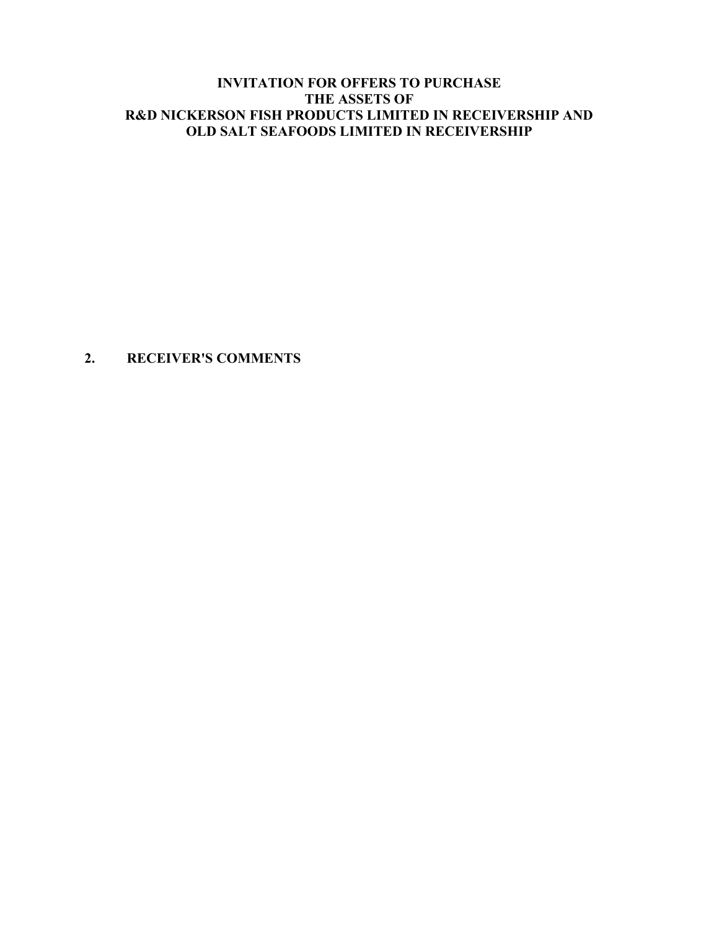# **2. RECEIVER'S COMMENTS**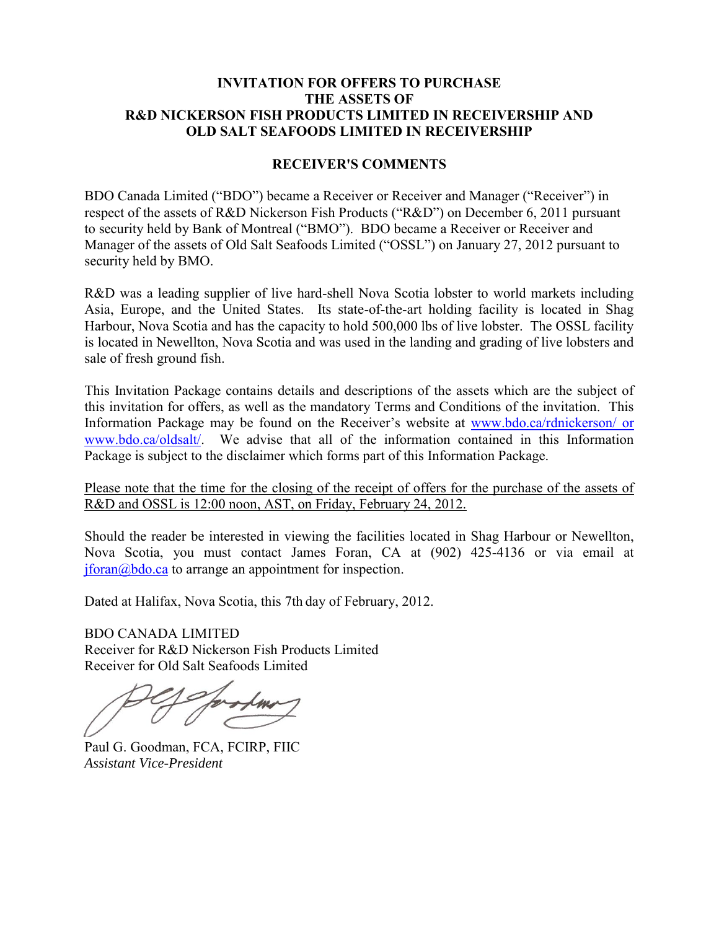## **RECEIVER'S COMMENTS**

BDO Canada Limited ("BDO") became a Receiver or Receiver and Manager ("Receiver") in respect of the assets of R&D Nickerson Fish Products ("R&D") on December 6, 2011 pursuant to security held by Bank of Montreal ("BMO"). BDO became a Receiver or Receiver and Manager of the assets of Old Salt Seafoods Limited ("OSSL") on January 27, 2012 pursuant to security held by BMO.

R&D was a leading supplier of live hard-shell Nova Scotia lobster to world markets including Asia, Europe, and the United States. Its state-of-the-art holding facility is located in Shag Harbour, Nova Scotia and has the capacity to hold 500,000 lbs of live lobster. The OSSL facility is located in Newellton, Nova Scotia and was used in the landing and grading of live lobsters and sale of fresh ground fish.

This Invitation Package contains details and descriptions of the assets which are the subject of this invitation for offers, as well as the mandatory Terms and Conditions of the invitation. This Information Package may be found on the Receiver's website at [www.bdo.ca/rdnickerson/ or](http://www.bdo.ca/rdnickerson/%20or%20www.bdo.ca/oldsalt/)  [www.bdo.ca/oldsalt/.](http://www.bdo.ca/rdnickerson/%20or%20www.bdo.ca/oldsalt/) We advise that all of the information contained in this Information Package is subject to the disclaimer which forms part of this Information Package.

Please note that the time for the closing of the receipt of offers for the purchase of the assets of R&D and OSSL is 12:00 noon, AST, on Friday, February 24, 2012.

Should the reader be interested in viewing the facilities located in Shag Harbour or Newellton, Nova Scotia, you must contact James Foran, CA at (902) 425-4136 or via email at  $iforan@bdo.ca$  to arrange an appointment for inspection.

Dated at Halifax, Nova Scotia, this 7th day of February, 2012.

BDO CANADA LIMITED Receiver for R&D Nickerson Fish Products Limited Receiver for Old Salt Seafoods Limited

Paul G. Goodman, FCA, FCIRP, FIIC *Assistant Vice-President*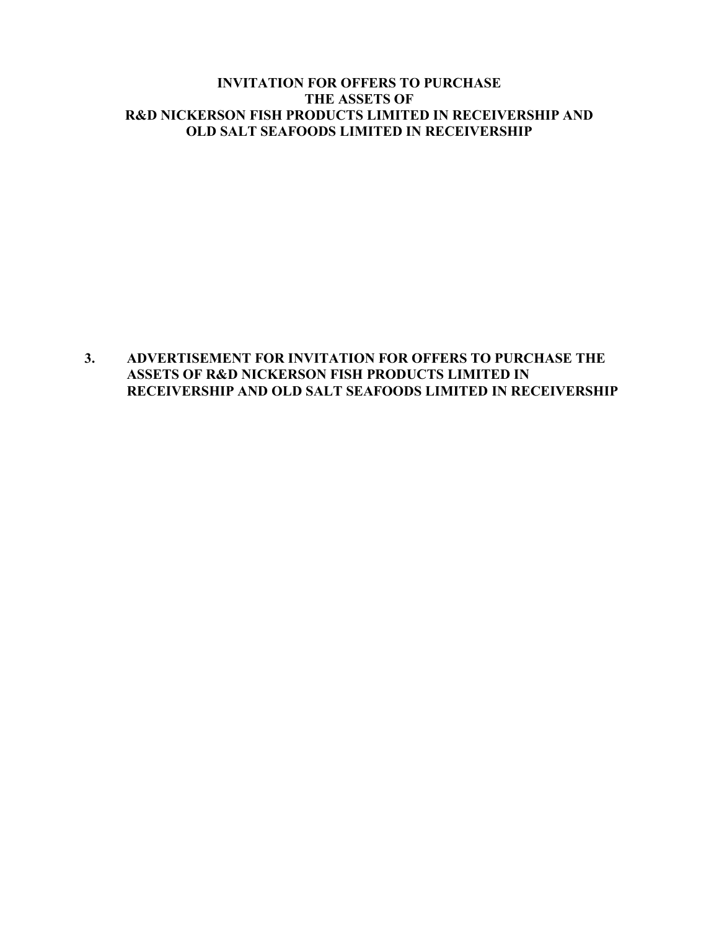# **3. ADVERTISEMENT FOR INVITATION FOR OFFERS TO PURCHASE THE ASSETS OF R&D NICKERSON FISH PRODUCTS LIMITED IN RECEIVERSHIP AND OLD SALT SEAFOODS LIMITED IN RECEIVERSHIP**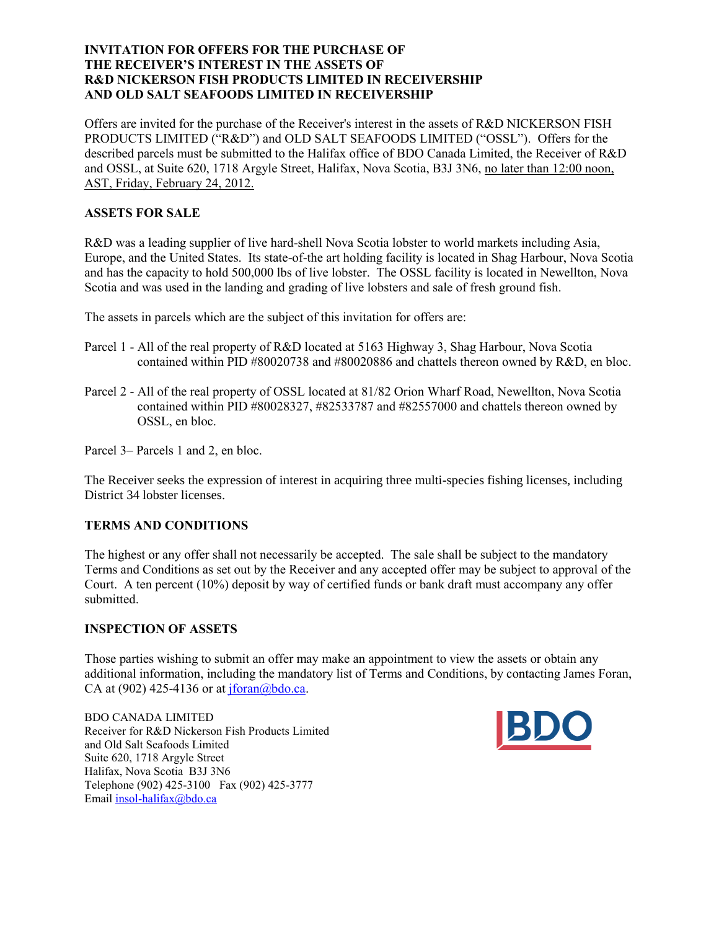#### **INVITATION FOR OFFERS FOR THE PURCHASE OF THE RECEIVER'S INTEREST IN THE ASSETS OF R&D NICKERSON FISH PRODUCTS LIMITED IN RECEIVERSHIP AND OLD SALT SEAFOODS LIMITED IN RECEIVERSHIP**

Offers are invited for the purchase of the Receiver's interest in the assets of R&D NICKERSON FISH PRODUCTS LIMITED ("R&D") and OLD SALT SEAFOODS LIMITED ("OSSL"). Offers for the described parcels must be submitted to the Halifax office of BDO Canada Limited, the Receiver of R&D and OSSL, at Suite 620, 1718 Argyle Street, Halifax, Nova Scotia, B3J 3N6, no later than 12:00 noon, AST, Friday, February 24, 2012.

## **ASSETS FOR SALE**

R&D was a leading supplier of live hard-shell Nova Scotia lobster to world markets including Asia, Europe, and the United States. Its state-of-the art holding facility is located in Shag Harbour, Nova Scotia and has the capacity to hold 500,000 lbs of live lobster. The OSSL facility is located in Newellton, Nova Scotia and was used in the landing and grading of live lobsters and sale of fresh ground fish.

The assets in parcels which are the subject of this invitation for offers are:

- Parcel 1 All of the real property of R&D located at 5163 Highway 3, Shag Harbour, Nova Scotia contained within PID #80020738 and #80020886 and chattels thereon owned by R&D, en bloc.
- Parcel 2 All of the real property of OSSL located at 81/82 Orion Wharf Road, Newellton, Nova Scotia contained within PID #80028327, #82533787 and #82557000 and chattels thereon owned by OSSL, en bloc.

Parcel 3– Parcels 1 and 2, en bloc.

The Receiver seeks the expression of interest in acquiring three multi-species fishing licenses, including District 34 lobster licenses.

## **TERMS AND CONDITIONS**

The highest or any offer shall not necessarily be accepted. The sale shall be subject to the mandatory Terms and Conditions as set out by the Receiver and any accepted offer may be subject to approval of the Court. A ten percent (10%) deposit by way of certified funds or bank draft must accompany any offer submitted.

#### **INSPECTION OF ASSETS**

Those parties wishing to submit an offer may make an appointment to view the assets or obtain any additional information, including the mandatory list of Terms and Conditions, by contacting James Foran, CA at (902) 425-4136 or at  $jforan(\omega)$ bdo.ca.

BDO CANADA LIMITED Receiver for R&D Nickerson Fish Products Limited and Old Salt Seafoods Limited Suite 620, 1718 Argyle Street Halifax, Nova Scotia B3J 3N6 Telephone (902) 425-3100 Fax (902) 425-3777 Email [insol-halifax@bdo.ca](mailto:insol-halifax@bdo.ca)

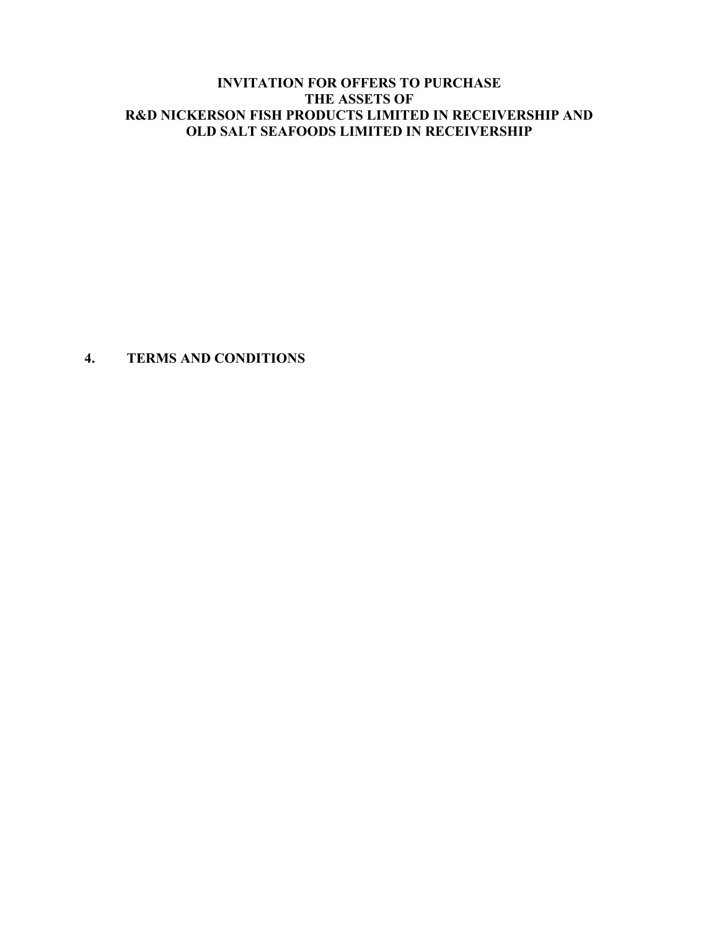# **4. TERMS AND CONDITIONS**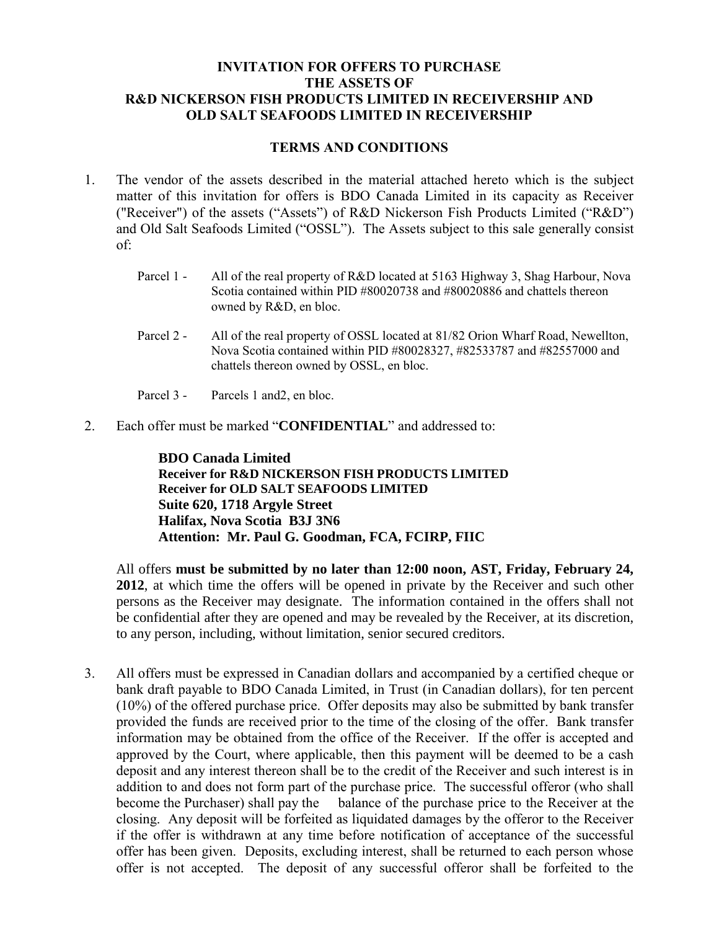# **TERMS AND CONDITIONS**

- 1. The vendor of the assets described in the material attached hereto which is the subject matter of this invitation for offers is BDO Canada Limited in its capacity as Receiver ("Receiver") of the assets ("Assets") of R&D Nickerson Fish Products Limited ("R&D") and Old Salt Seafoods Limited ("OSSL"). The Assets subject to this sale generally consist of:
	- Parcel 1 All of the real property of R&D located at 5163 Highway 3, Shag Harbour, Nova Scotia contained within PID #80020738 and #80020886 and chattels thereon owned by R&D, en bloc.
	- Parcel 2 All of the real property of OSSL located at 81/82 Orion Wharf Road, Newellton, Nova Scotia contained within PID #80028327, #82533787 and #82557000 and chattels thereon owned by OSSL, en bloc.
	- Parcel 3 Parcels 1 and 2, en bloc.
- 2. Each offer must be marked "**CONFIDENTIAL**" and addressed to:

**BDO Canada Limited Receiver for R&D NICKERSON FISH PRODUCTS LIMITED Receiver for OLD SALT SEAFOODS LIMITED Suite 620, 1718 Argyle Street Halifax, Nova Scotia B3J 3N6 Attention: Mr. Paul G. Goodman, FCA, FCIRP, FIIC**

All offers **must be submitted by no later than 12:00 noon, AST, Friday, February 24, 2012**, at which time the offers will be opened in private by the Receiver and such other persons as the Receiver may designate. The information contained in the offers shall not be confidential after they are opened and may be revealed by the Receiver, at its discretion, to any person, including, without limitation, senior secured creditors.

3. All offers must be expressed in Canadian dollars and accompanied by a certified cheque or bank draft payable to BDO Canada Limited, in Trust (in Canadian dollars), for ten percent (10%) of the offered purchase price. Offer deposits may also be submitted by bank transfer provided the funds are received prior to the time of the closing of the offer. Bank transfer information may be obtained from the office of the Receiver. If the offer is accepted and approved by the Court, where applicable, then this payment will be deemed to be a cash deposit and any interest thereon shall be to the credit of the Receiver and such interest is in addition to and does not form part of the purchase price. The successful offeror (who shall become the Purchaser) shall pay the balance of the purchase price to the Receiver at the closing. Any deposit will be forfeited as liquidated damages by the offeror to the Receiver if the offer is withdrawn at any time before notification of acceptance of the successful offer has been given. Deposits, excluding interest, shall be returned to each person whose offer is not accepted. The deposit of any successful offeror shall be forfeited to the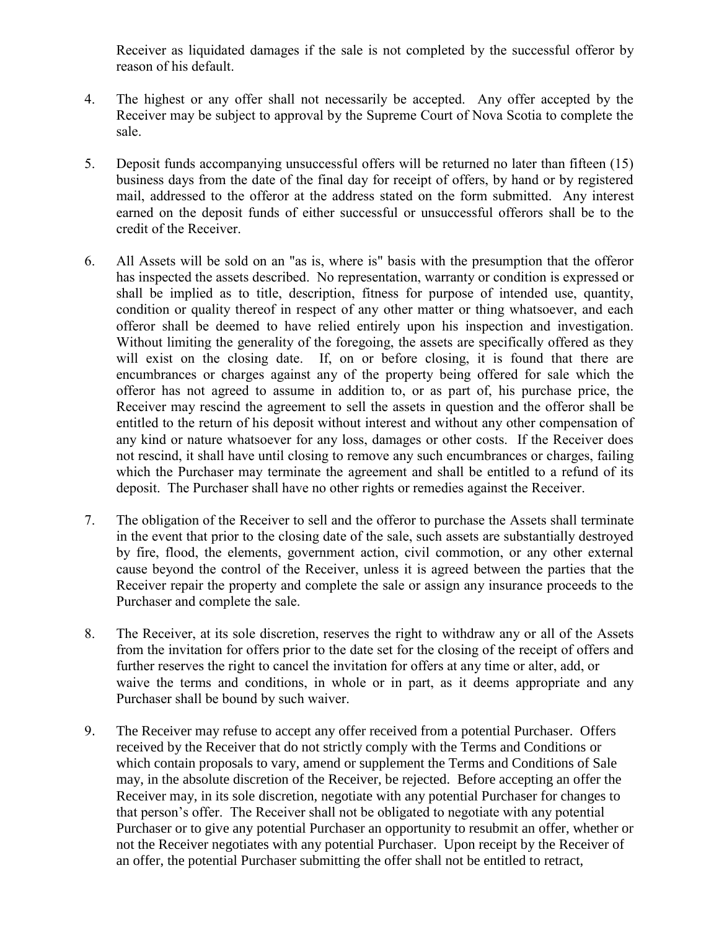Receiver as liquidated damages if the sale is not completed by the successful offeror by reason of his default.

- 4. The highest or any offer shall not necessarily be accepted. Any offer accepted by the Receiver may be subject to approval by the Supreme Court of Nova Scotia to complete the sale.
- 5. Deposit funds accompanying unsuccessful offers will be returned no later than fifteen (15) business days from the date of the final day for receipt of offers, by hand or by registered mail, addressed to the offeror at the address stated on the form submitted. Any interest earned on the deposit funds of either successful or unsuccessful offerors shall be to the credit of the Receiver.
- 6. All Assets will be sold on an "as is, where is" basis with the presumption that the offeror has inspected the assets described. No representation, warranty or condition is expressed or shall be implied as to title, description, fitness for purpose of intended use, quantity, condition or quality thereof in respect of any other matter or thing whatsoever, and each offeror shall be deemed to have relied entirely upon his inspection and investigation. Without limiting the generality of the foregoing, the assets are specifically offered as they will exist on the closing date. If, on or before closing, it is found that there are encumbrances or charges against any of the property being offered for sale which the offeror has not agreed to assume in addition to, or as part of, his purchase price, the Receiver may rescind the agreement to sell the assets in question and the offeror shall be entitled to the return of his deposit without interest and without any other compensation of any kind or nature whatsoever for any loss, damages or other costs. If the Receiver does not rescind, it shall have until closing to remove any such encumbrances or charges, failing which the Purchaser may terminate the agreement and shall be entitled to a refund of its deposit. The Purchaser shall have no other rights or remedies against the Receiver.
- 7. The obligation of the Receiver to sell and the offeror to purchase the Assets shall terminate in the event that prior to the closing date of the sale, such assets are substantially destroyed by fire, flood, the elements, government action, civil commotion, or any other external cause beyond the control of the Receiver, unless it is agreed between the parties that the Receiver repair the property and complete the sale or assign any insurance proceeds to the Purchaser and complete the sale.
- 8. The Receiver, at its sole discretion, reserves the right to withdraw any or all of the Assets from the invitation for offers prior to the date set for the closing of the receipt of offers and further reserves the right to cancel the invitation for offers at any time or alter, add, or waive the terms and conditions, in whole or in part, as it deems appropriate and any Purchaser shall be bound by such waiver.
- 9. The Receiver may refuse to accept any offer received from a potential Purchaser. Offers received by the Receiver that do not strictly comply with the Terms and Conditions or which contain proposals to vary, amend or supplement the Terms and Conditions of Sale may, in the absolute discretion of the Receiver, be rejected. Before accepting an offer the Receiver may, in its sole discretion, negotiate with any potential Purchaser for changes to that person's offer. The Receiver shall not be obligated to negotiate with any potential Purchaser or to give any potential Purchaser an opportunity to resubmit an offer, whether or not the Receiver negotiates with any potential Purchaser. Upon receipt by the Receiver of an offer, the potential Purchaser submitting the offer shall not be entitled to retract,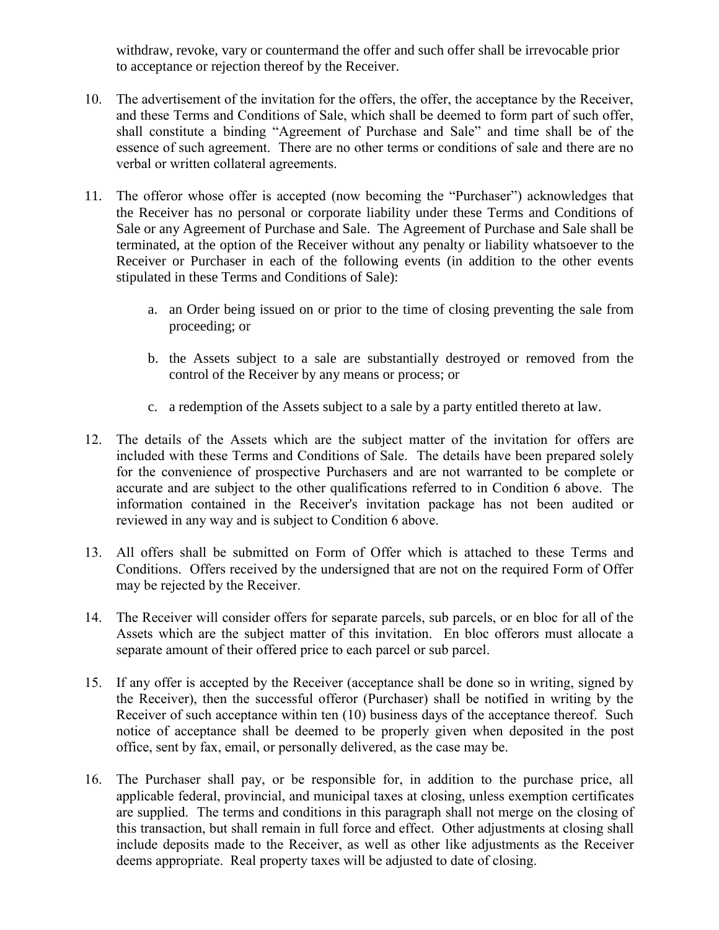withdraw, revoke, vary or countermand the offer and such offer shall be irrevocable prior to acceptance or rejection thereof by the Receiver.

- 10. The advertisement of the invitation for the offers, the offer, the acceptance by the Receiver, and these Terms and Conditions of Sale, which shall be deemed to form part of such offer, shall constitute a binding "Agreement of Purchase and Sale" and time shall be of the essence of such agreement. There are no other terms or conditions of sale and there are no verbal or written collateral agreements.
- 11. The offeror whose offer is accepted (now becoming the "Purchaser") acknowledges that the Receiver has no personal or corporate liability under these Terms and Conditions of Sale or any Agreement of Purchase and Sale. The Agreement of Purchase and Sale shall be terminated, at the option of the Receiver without any penalty or liability whatsoever to the Receiver or Purchaser in each of the following events (in addition to the other events stipulated in these Terms and Conditions of Sale):
	- a. an Order being issued on or prior to the time of closing preventing the sale from proceeding; or
	- b. the Assets subject to a sale are substantially destroyed or removed from the control of the Receiver by any means or process; or
	- c. a redemption of the Assets subject to a sale by a party entitled thereto at law.
- 12. The details of the Assets which are the subject matter of the invitation for offers are included with these Terms and Conditions of Sale. The details have been prepared solely for the convenience of prospective Purchasers and are not warranted to be complete or accurate and are subject to the other qualifications referred to in Condition 6 above. The information contained in the Receiver's invitation package has not been audited or reviewed in any way and is subject to Condition 6 above.
- 13. All offers shall be submitted on Form of Offer which is attached to these Terms and Conditions. Offers received by the undersigned that are not on the required Form of Offer may be rejected by the Receiver.
- 14. The Receiver will consider offers for separate parcels, sub parcels, or en bloc for all of the Assets which are the subject matter of this invitation. En bloc offerors must allocate a separate amount of their offered price to each parcel or sub parcel.
- 15. If any offer is accepted by the Receiver (acceptance shall be done so in writing, signed by the Receiver), then the successful offeror (Purchaser) shall be notified in writing by the Receiver of such acceptance within ten (10) business days of the acceptance thereof. Such notice of acceptance shall be deemed to be properly given when deposited in the post office, sent by fax, email, or personally delivered, as the case may be.
- 16. The Purchaser shall pay, or be responsible for, in addition to the purchase price, all applicable federal, provincial, and municipal taxes at closing, unless exemption certificates are supplied. The terms and conditions in this paragraph shall not merge on the closing of this transaction, but shall remain in full force and effect. Other adjustments at closing shall include deposits made to the Receiver, as well as other like adjustments as the Receiver deems appropriate. Real property taxes will be adjusted to date of closing.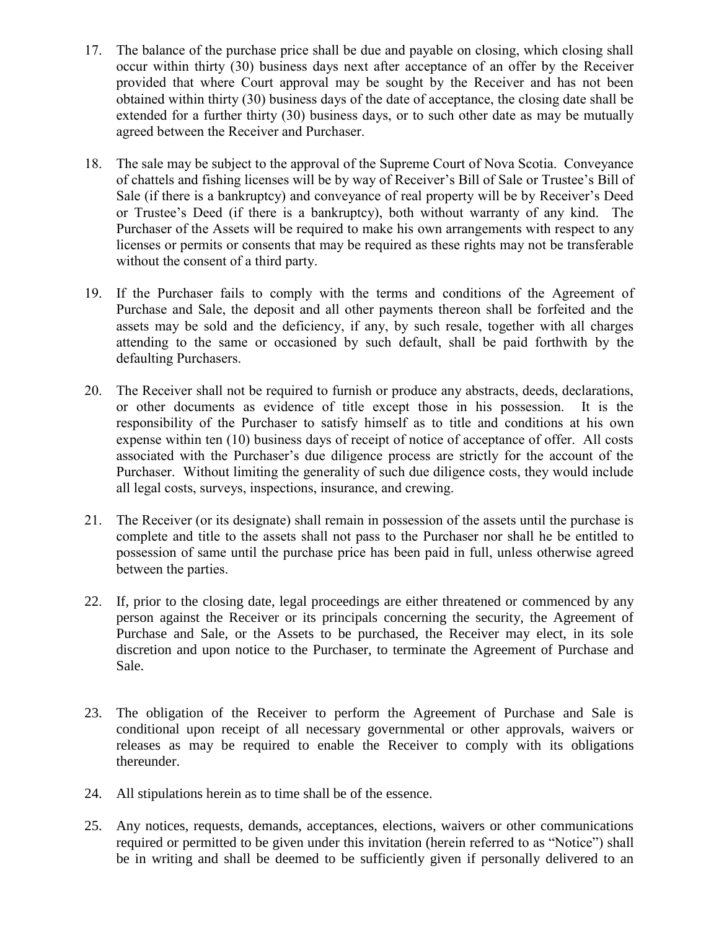- 17. The balance of the purchase price shall be due and payable on closing, which closing shall occur within thirty (30) business days next after acceptance of an offer by the Receiver provided that where Court approval may be sought by the Receiver and has not been obtained within thirty (30) business days of the date of acceptance, the closing date shall be extended for a further thirty (30) business days, or to such other date as may be mutually agreed between the Receiver and Purchaser.
- 18. The sale may be subject to the approval of the Supreme Court of Nova Scotia. Conveyance of chattels and fishing licenses will be by way of Receiver's Bill of Sale or Trustee's Bill of Sale (if there is a bankruptcy) and conveyance of real property will be by Receiver's Deed or Trustee's Deed (if there is a bankruptcy), both without warranty of any kind. The Purchaser of the Assets will be required to make his own arrangements with respect to any licenses or permits or consents that may be required as these rights may not be transferable without the consent of a third party.
- 19. If the Purchaser fails to comply with the terms and conditions of the Agreement of Purchase and Sale, the deposit and all other payments thereon shall be forfeited and the assets may be sold and the deficiency, if any, by such resale, together with all charges attending to the same or occasioned by such default, shall be paid forthwith by the defaulting Purchasers.
- 20. The Receiver shall not be required to furnish or produce any abstracts, deeds, declarations, or other documents as evidence of title except those in his possession. It is the responsibility of the Purchaser to satisfy himself as to title and conditions at his own expense within ten (10) business days of receipt of notice of acceptance of offer. All costs associated with the Purchaser's due diligence process are strictly for the account of the Purchaser. Without limiting the generality of such due diligence costs, they would include all legal costs, surveys, inspections, insurance, and crewing.
- 21. The Receiver (or its designate) shall remain in possession of the assets until the purchase is complete and title to the assets shall not pass to the Purchaser nor shall he be entitled to possession of same until the purchase price has been paid in full, unless otherwise agreed between the parties.
- 22. If, prior to the closing date, legal proceedings are either threatened or commenced by any person against the Receiver or its principals concerning the security, the Agreement of Purchase and Sale, or the Assets to be purchased, the Receiver may elect, in its sole discretion and upon notice to the Purchaser, to terminate the Agreement of Purchase and Sale.
- 23. The obligation of the Receiver to perform the Agreement of Purchase and Sale is conditional upon receipt of all necessary governmental or other approvals, waivers or releases as may be required to enable the Receiver to comply with its obligations thereunder.
- 24. All stipulations herein as to time shall be of the essence.
- 25. Any notices, requests, demands, acceptances, elections, waivers or other communications required or permitted to be given under this invitation (herein referred to as "Notice") shall be in writing and shall be deemed to be sufficiently given if personally delivered to an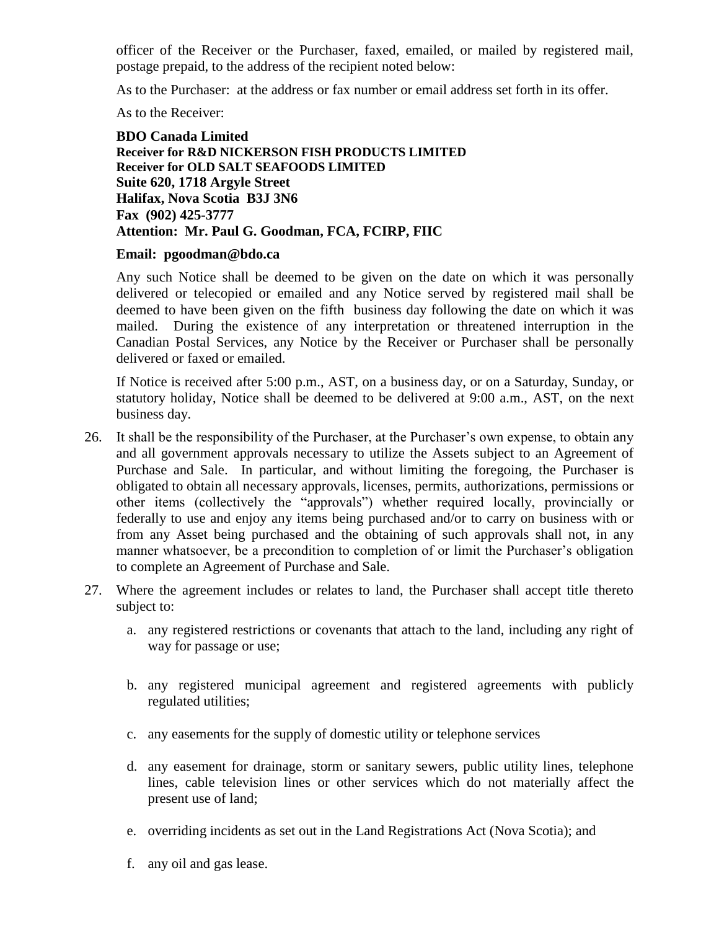officer of the Receiver or the Purchaser, faxed, emailed, or mailed by registered mail, postage prepaid, to the address of the recipient noted below:

As to the Purchaser: at the address or fax number or email address set forth in its offer.

As to the Receiver:

**BDO Canada Limited Receiver for R&D NICKERSON FISH PRODUCTS LIMITED Receiver for OLD SALT SEAFOODS LIMITED Suite 620, 1718 Argyle Street Halifax, Nova Scotia B3J 3N6 Fax (902) 425-3777 Attention: Mr. Paul G. Goodman, FCA, FCIRP, FIIC**

### **Email: pgoodman@bdo.ca**

Any such Notice shall be deemed to be given on the date on which it was personally delivered or telecopied or emailed and any Notice served by registered mail shall be deemed to have been given on the fifth business day following the date on which it was mailed. During the existence of any interpretation or threatened interruption in the Canadian Postal Services, any Notice by the Receiver or Purchaser shall be personally delivered or faxed or emailed.

If Notice is received after 5:00 p.m., AST, on a business day, or on a Saturday, Sunday, or statutory holiday, Notice shall be deemed to be delivered at 9:00 a.m., AST, on the next business day.

- 26. It shall be the responsibility of the Purchaser, at the Purchaser's own expense, to obtain any and all government approvals necessary to utilize the Assets subject to an Agreement of Purchase and Sale. In particular, and without limiting the foregoing, the Purchaser is obligated to obtain all necessary approvals, licenses, permits, authorizations, permissions or other items (collectively the "approvals") whether required locally, provincially or federally to use and enjoy any items being purchased and/or to carry on business with or from any Asset being purchased and the obtaining of such approvals shall not, in any manner whatsoever, be a precondition to completion of or limit the Purchaser's obligation to complete an Agreement of Purchase and Sale.
- 27. Where the agreement includes or relates to land, the Purchaser shall accept title thereto subject to:
	- a. any registered restrictions or covenants that attach to the land, including any right of way for passage or use;
	- b. any registered municipal agreement and registered agreements with publicly regulated utilities;
	- c. any easements for the supply of domestic utility or telephone services
	- d. any easement for drainage, storm or sanitary sewers, public utility lines, telephone lines, cable television lines or other services which do not materially affect the present use of land;
	- e. overriding incidents as set out in the Land Registrations Act (Nova Scotia); and
	- f. any oil and gas lease.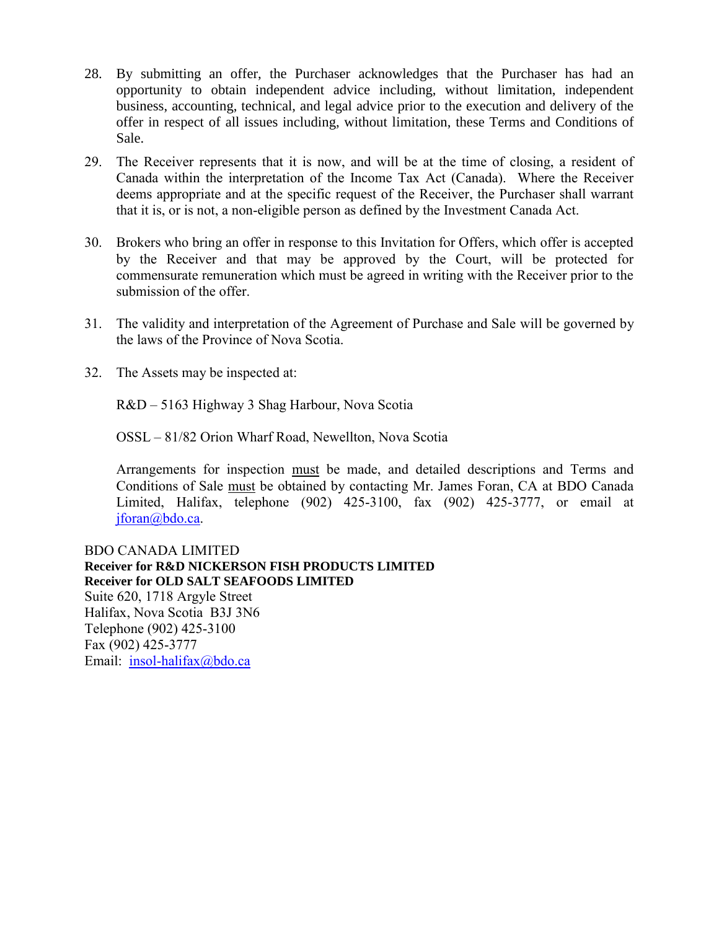- 28. By submitting an offer, the Purchaser acknowledges that the Purchaser has had an opportunity to obtain independent advice including, without limitation, independent business, accounting, technical, and legal advice prior to the execution and delivery of the offer in respect of all issues including, without limitation, these Terms and Conditions of Sale.
- 29. The Receiver represents that it is now, and will be at the time of closing, a resident of Canada within the interpretation of the Income Tax Act (Canada). Where the Receiver deems appropriate and at the specific request of the Receiver, the Purchaser shall warrant that it is, or is not, a non-eligible person as defined by the Investment Canada Act.
- 30. Brokers who bring an offer in response to this Invitation for Offers, which offer is accepted by the Receiver and that may be approved by the Court, will be protected for commensurate remuneration which must be agreed in writing with the Receiver prior to the submission of the offer.
- 31. The validity and interpretation of the Agreement of Purchase and Sale will be governed by the laws of the Province of Nova Scotia.
- 32. The Assets may be inspected at:

R&D – 5163 Highway 3 Shag Harbour, Nova Scotia

OSSL – 81/82 Orion Wharf Road, Newellton, Nova Scotia

Arrangements for inspection must be made, and detailed descriptions and Terms and Conditions of Sale must be obtained by contacting Mr. James Foran, CA at BDO Canada Limited, Halifax, telephone (902) 425-3100, fax (902) 425-3777, or email at [jforan@bdo.ca.](mailto:jforan@bdo.ca)

BDO CANADA LIMITED **Receiver for R&D NICKERSON FISH PRODUCTS LIMITED Receiver for OLD SALT SEAFOODS LIMITED** Suite 620, 1718 Argyle Street Halifax, Nova Scotia B3J 3N6 Telephone (902) 425-3100 Fax (902) 425-3777 Email: [insol-halifax@bdo.ca](mailto:insol-halifax@bdo.ca)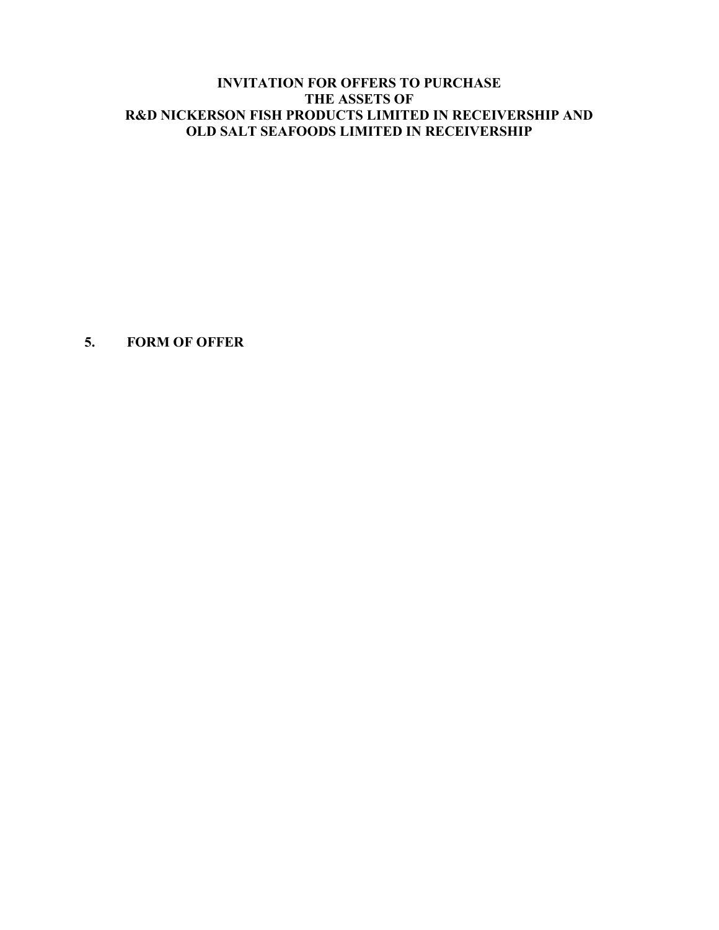**5. FORM OF OFFER**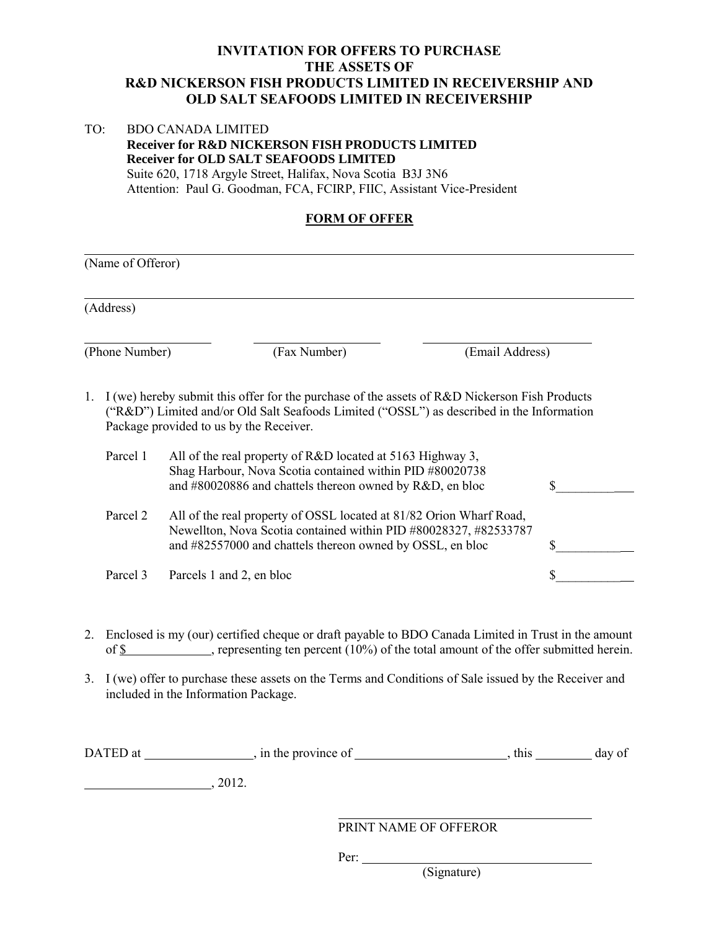### TO: BDO CANADA LIMITED  **Receiver for R&D NICKERSON FISH PRODUCTS LIMITED Receiver for OLD SALT SEAFOODS LIMITED** Suite 620, 1718 Argyle Street, Halifax, Nova Scotia B3J 3N6 Attention: Paul G. Goodman, FCA, FCIRP, FIIC, Assistant Vice-President

# **FORM OF OFFER**

|                | (Name of Offeror)                                                                                                                                                                                                                     |                                                                                                                                                                                                      |  |  |  |
|----------------|---------------------------------------------------------------------------------------------------------------------------------------------------------------------------------------------------------------------------------------|------------------------------------------------------------------------------------------------------------------------------------------------------------------------------------------------------|--|--|--|
|                | (Address)                                                                                                                                                                                                                             |                                                                                                                                                                                                      |  |  |  |
| (Phone Number) |                                                                                                                                                                                                                                       | (Fax Number)<br>(Email Address)                                                                                                                                                                      |  |  |  |
| 1.             | I (we) hereby submit this offer for the purchase of the assets of R&D Nickerson Fish Products<br>("R&D") Limited and/or Old Salt Seafoods Limited ("OSSL") as described in the Information<br>Package provided to us by the Receiver. |                                                                                                                                                                                                      |  |  |  |
|                | Parcel 1                                                                                                                                                                                                                              | All of the real property of R&D located at 5163 Highway 3,<br>Shag Harbour, Nova Scotia contained within PID #80020738<br>and #80020886 and chattels thereon owned by R&D, en bloc                   |  |  |  |
|                | Parcel 2                                                                                                                                                                                                                              | All of the real property of OSSL located at 81/82 Orion Wharf Road,<br>Newellton, Nova Scotia contained within PID #80028327, #82533787<br>and #82557000 and chattels thereon owned by OSSL, en bloc |  |  |  |
|                | Parcel 3                                                                                                                                                                                                                              | Parcels 1 and 2, en bloc                                                                                                                                                                             |  |  |  |

- 2. Enclosed is my (our) certified cheque or draft payable to BDO Canada Limited in Trust in the amount of \$ , representing ten percent (10%) of the total amount of the offer submitted herein.
- 3. I (we) offer to purchase these assets on the Terms and Conditions of Sale issued by the Receiver and included in the Information Package.

| DATED at | , in the province of |                       | this | day of |
|----------|----------------------|-----------------------|------|--------|
|          | 2012.                |                       |      |        |
|          |                      | PRINT NAME OF OFFEROR |      |        |

Per:

(Signature)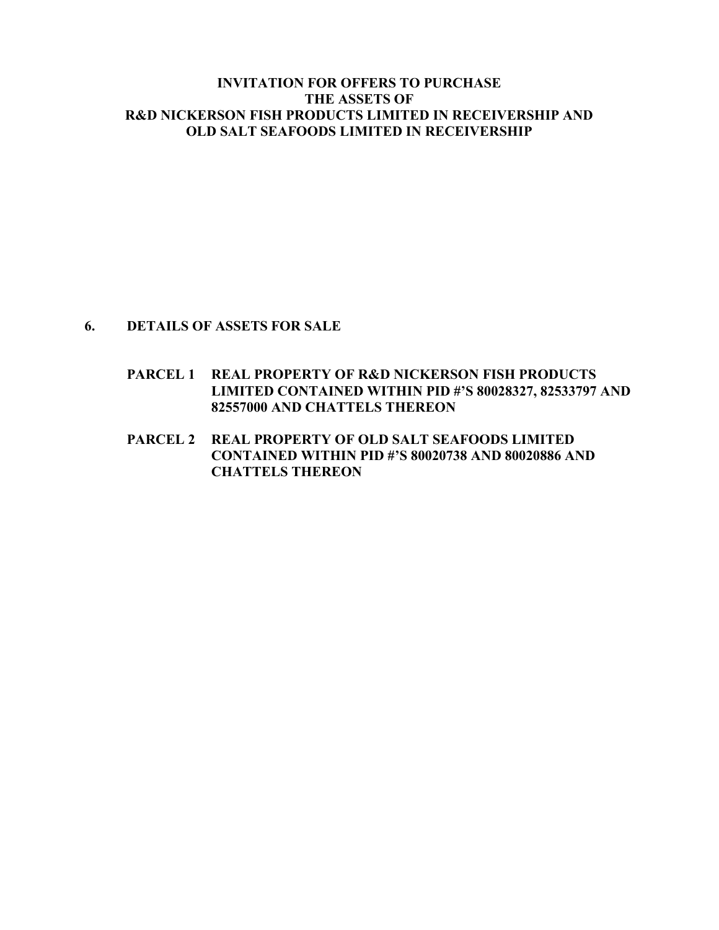# **6. DETAILS OF ASSETS FOR SALE**

- **PARCEL 1 REAL PROPERTY OF R&D NICKERSON FISH PRODUCTS LIMITED CONTAINED WITHIN PID #'S 80028327, 82533797 AND 82557000 AND CHATTELS THEREON**
- **PARCEL 2 REAL PROPERTY OF OLD SALT SEAFOODS LIMITED CONTAINED WITHIN PID #'S 80020738 AND 80020886 AND CHATTELS THEREON**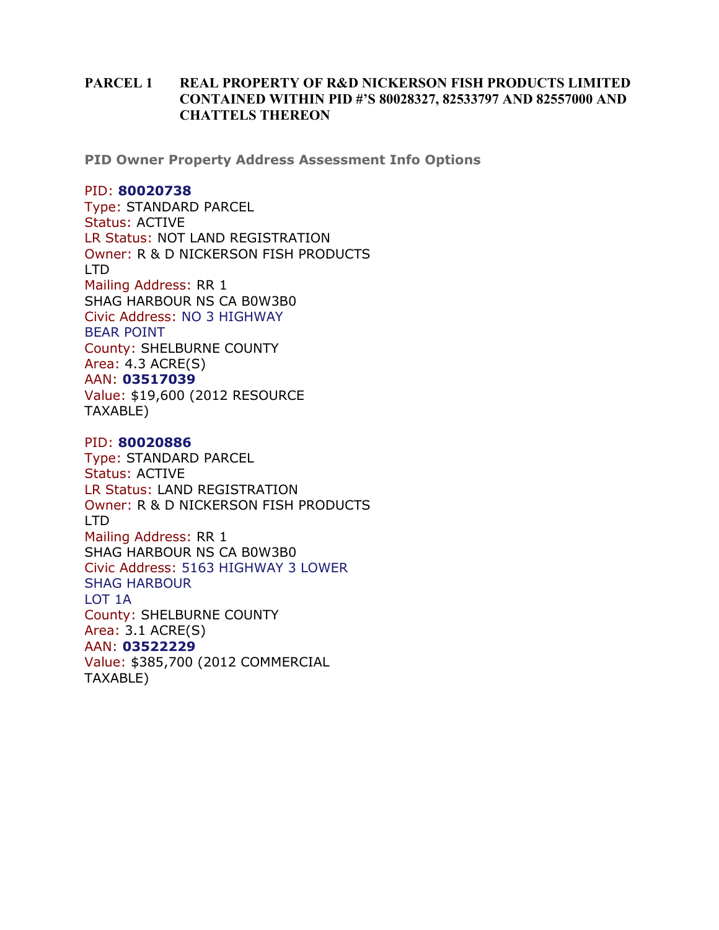## **PARCEL 1 REAL PROPERTY OF R&D NICKERSON FISH PRODUCTS LIMITED CONTAINED WITHIN PID #'S 80028327, 82533797 AND 82557000 AND CHATTELS THEREON**

**PID Owner Property Address Assessment Info Options**

#### PID: **80020738**

Type: STANDARD PARCEL Status: ACTIVE LR Status: NOT LAND REGISTRATION Owner: R & D NICKERSON FISH PRODUCTS LTD Mailing Address: RR 1 SHAG HARBOUR NS CA B0W3B0 Civic Address: NO 3 HIGHWAY BEAR POINT County: SHELBURNE COUNTY Area: 4.3 ACRE(S) AAN: **03517039** Value: \$19,600 (2012 RESOURCE TAXABLE)

### PID: **80020886**

Type: STANDARD PARCEL Status: ACTIVE LR Status: LAND REGISTRATION Owner: R & D NICKERSON FISH PRODUCTS LTD Mailing Address: RR 1 SHAG HARBOUR NS CA B0W3B0 Civic Address: 5163 HIGHWAY 3 LOWER SHAG HARBOUR LOT 1A County: SHELBURNE COUNTY Area: 3.1 ACRE(S) AAN: **03522229** Value: \$385,700 (2012 COMMERCIAL TAXABLE)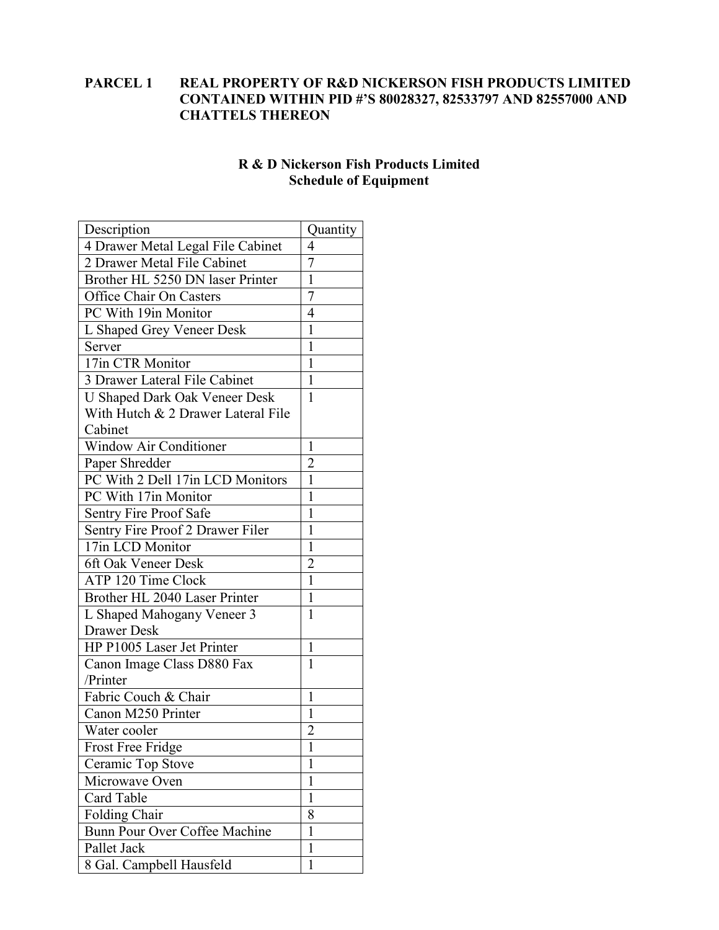# **PARCEL 1 REAL PROPERTY OF R&D NICKERSON FISH PRODUCTS LIMITED CONTAINED WITHIN PID #'S 80028327, 82533797 AND 82557000 AND CHATTELS THEREON**

# **R & D Nickerson Fish Products Limited Schedule of Equipment**

| Description                          | Quantity       |
|--------------------------------------|----------------|
| 4 Drawer Metal Legal File Cabinet    | 4              |
| 2 Drawer Metal File Cabinet          | $\overline{7}$ |
| Brother HL 5250 DN laser Printer     | $\overline{1}$ |
| Office Chair On Casters              | $\overline{7}$ |
| PC With 19in Monitor                 | 4              |
| L Shaped Grey Veneer Desk            | $\mathbf{1}$   |
| Server                               | 1              |
| 17in CTR Monitor                     | 1              |
| 3 Drawer Lateral File Cabinet        | 1              |
| <b>U Shaped Dark Oak Veneer Desk</b> | 1              |
| With Hutch & 2 Drawer Lateral File   |                |
| Cabinet                              |                |
| Window Air Conditioner               | 1              |
| Paper Shredder                       | 2              |
| PC With 2 Dell 17in LCD Monitors     | 1              |
| PC With 17in Monitor                 | $\mathbf{1}$   |
| Sentry Fire Proof Safe               | 1              |
| Sentry Fire Proof 2 Drawer Filer     | 1              |
| 17in LCD Monitor                     | 1              |
| 6ft Oak Veneer Desk                  | $\overline{2}$ |
| ATP 120 Time Clock                   | $\mathbf{1}$   |
| Brother HL 2040 Laser Printer        | $\mathbf{1}$   |
| L Shaped Mahogany Veneer 3           | 1              |
| Drawer Desk                          |                |
| HP P1005 Laser Jet Printer           | 1              |
| Canon Image Class D880 Fax           | 1              |
| /Printer                             |                |
| Fabric Couch & Chair                 | 1              |
| Canon M250 Printer                   | 1              |
| Water cooler                         | $\overline{2}$ |
| <b>Frost Free Fridge</b>             | I              |
| Ceramic Top Stove                    | 1              |
| Microwave Oven                       | 1              |
| Card Table                           | 1              |
| <b>Folding Chair</b>                 | 8              |
| Bunn Pour Over Coffee Machine        | 1              |
| Pallet Jack                          | 1              |
| 8 Gal. Campbell Hausfeld             | 1              |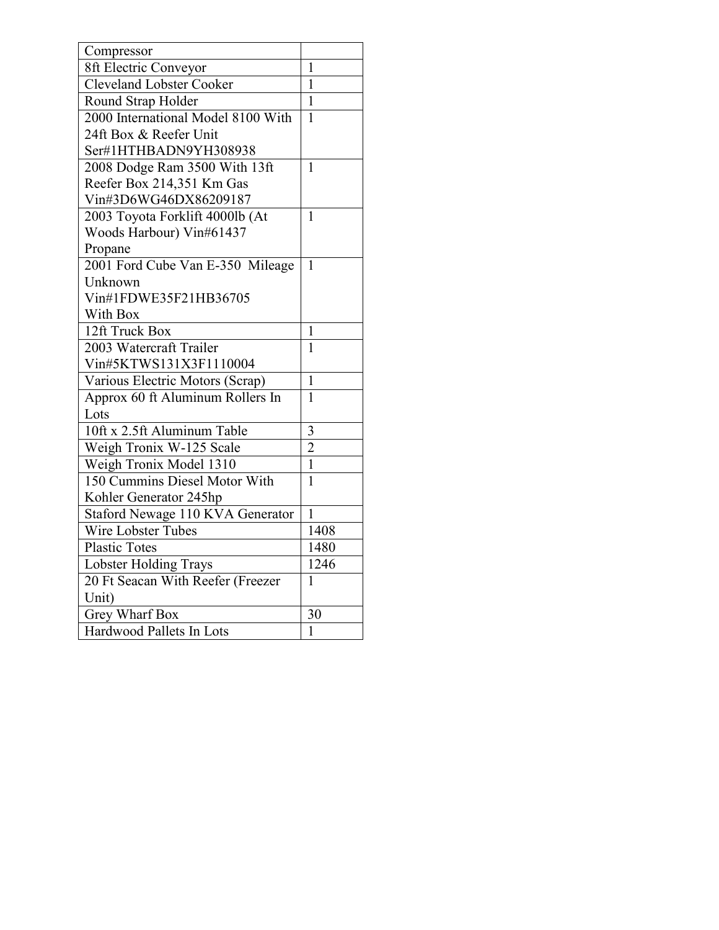| Compressor                         |                |
|------------------------------------|----------------|
| 8ft Electric Conveyor              | $\mathbf{1}$   |
| <b>Cleveland Lobster Cooker</b>    | $\mathbf{1}$   |
| Round Strap Holder                 | $\mathbf{1}$   |
| 2000 International Model 8100 With | $\mathbf{1}$   |
| 24ft Box & Reefer Unit             |                |
| Ser#1HTHBADN9YH308938              |                |
| 2008 Dodge Ram 3500 With 13ft      | 1              |
| Reefer Box 214,351 Km Gas          |                |
| Vin#3D6WG46DX86209187              |                |
| 2003 Toyota Forklift 4000lb (At    | 1              |
| Woods Harbour) Vin#61437           |                |
| Propane                            |                |
| 2001 Ford Cube Van E-350 Mileage   | $\mathbf{1}$   |
| Unknown                            |                |
| Vin#1FDWE35F21HB36705              |                |
| With Box                           |                |
| 12ft Truck Box                     | 1              |
| 2003 Watercraft Trailer            | $\mathbf{1}$   |
| Vin#5KTWS131X3F1110004             |                |
| Various Electric Motors (Scrap)    | $\mathbf{1}$   |
| Approx 60 ft Aluminum Rollers In   | $\mathbf{1}$   |
| Lots                               |                |
| 10ft x 2.5ft Aluminum Table        | 3              |
| Weigh Tronix W-125 Scale           | $\overline{2}$ |
| Weigh Tronix Model 1310            | $\mathbf{1}$   |
| 150 Cummins Diesel Motor With      | $\mathbf{1}$   |
| Kohler Generator 245hp             |                |
| Staford Newage 110 KVA Generator   | 1              |
| Wire Lobster Tubes                 | 1408           |
| <b>Plastic Totes</b>               | 1480           |
| <b>Lobster Holding Trays</b>       | 1246           |
| 20 Ft Seacan With Reefer (Freezer  | 1              |
| Unit)                              |                |
| Grey Wharf Box                     | 30             |
| Hardwood Pallets In Lots           | $\mathbf{1}$   |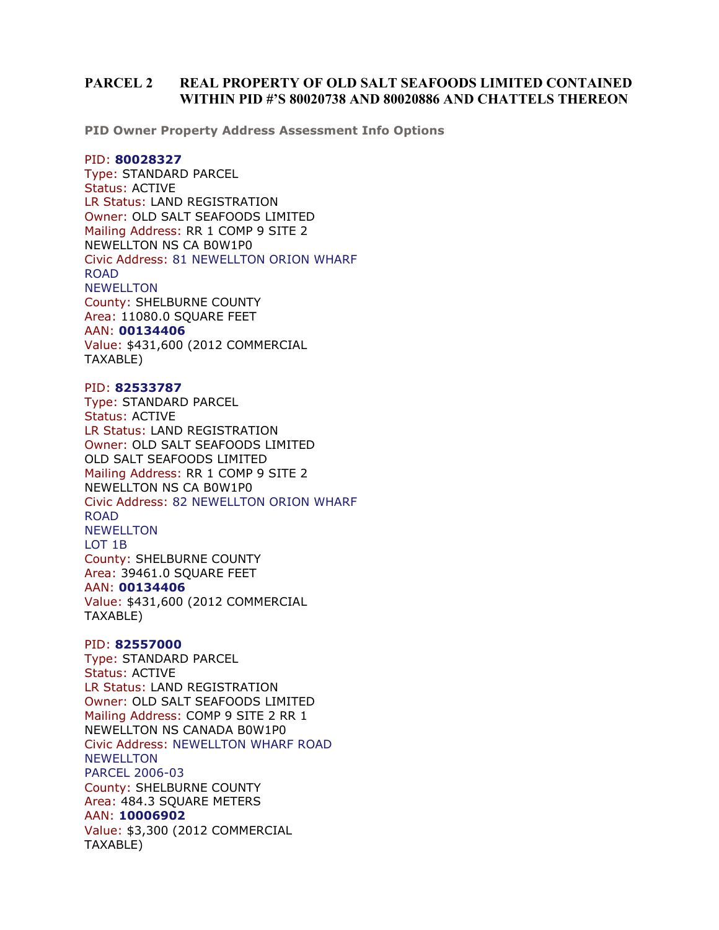#### **PARCEL 2 REAL PROPERTY OF OLD SALT SEAFOODS LIMITED CONTAINED WITHIN PID #'S 80020738 AND 80020886 AND CHATTELS THEREON**

**PID Owner Property Address Assessment Info Options**

#### PID: **80028327**

Type: STANDARD PARCEL Status: ACTIVE LR Status: LAND REGISTRATION Owner: OLD SALT SEAFOODS LIMITED Mailing Address: RR 1 COMP 9 SITE 2 NEWELLTON NS CA B0W1P0 Civic Address: 81 NEWELLTON ORION WHARF ROAD **NEWELLTON** County: SHELBURNE COUNTY Area: 11080.0 SQUARE FEET AAN: **00134406** Value: \$431,600 (2012 COMMERCIAL TAXABLE)

#### PID: **82533787**

Type: STANDARD PARCEL Status: ACTIVE LR Status: LAND REGISTRATION Owner: OLD SALT SEAFOODS LIMITED OLD SALT SEAFOODS LIMITED Mailing Address: RR 1 COMP 9 SITE 2 NEWELLTON NS CA B0W1P0 Civic Address: 82 NEWELLTON ORION WHARF ROAD NEWELLTON LOT 1B County: SHELBURNE COUNTY Area: 39461.0 SQUARE FEET AAN: **00134406** Value: \$431,600 (2012 COMMERCIAL TAXABLE)

#### PID: **82557000**

Type: STANDARD PARCEL Status: ACTIVE LR Status: LAND REGISTRATION Owner: OLD SALT SEAFOODS LIMITED Mailing Address: COMP 9 SITE 2 RR 1 NEWELLTON NS CANADA B0W1P0 Civic Address: NEWELLTON WHARF ROAD NEWELLTON PARCEL 2006-03 County: SHELBURNE COUNTY Area: 484.3 SQUARE METERS AAN: **10006902** Value: \$3,300 (2012 COMMERCIAL TAXABLE)